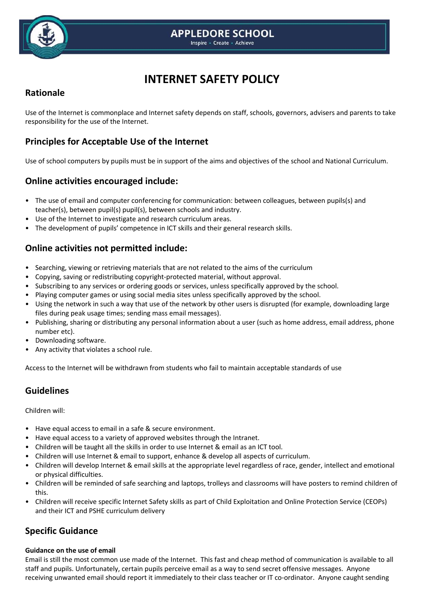

# **INTERNET SAFETY POLICY**

## **Rationale**

Use of the Internet is commonplace and Internet safety depends on staff, schools, governors, advisers and parents to take responsibility for the use of the Internet.

# **Principles for Acceptable Use of the Internet**

Use of school computers by pupils must be in support of the aims and objectives of the school and National Curriculum.

### **Online activities encouraged include:**

- The use of email and computer conferencing for communication: between colleagues, between pupils(s) and teacher(s), between pupil(s) pupil(s), between schools and industry.
- Use of the Internet to investigate and research curriculum areas.
- The development of pupils' competence in ICT skills and their general research skills.

## **Online activities not permitted include:**

- Searching, viewing or retrieving materials that are not related to the aims of the curriculum
- Copying, saving or redistributing copyright-protected material, without approval.
- Subscribing to any services or ordering goods or services, unless specifically approved by the school.
- Playing computer games or using social media sites unless specifically approved by the school.
- Using the network in such a way that use of the network by other users is disrupted (for example, downloading large files during peak usage times; sending mass email messages).
- Publishing, sharing or distributing any personal information about a user (such as home address, email address, phone number etc).
- Downloading software.
- Any activity that violates a school rule.

Access to the Internet will be withdrawn from students who fail to maintain acceptable standards of use

### **Guidelines**

Children will:

- Have equal access to email in a safe & secure environment.
- Have equal access to a variety of approved websites through the Intranet.
- Children will be taught all the skills in order to use Internet & email as an ICT tool.
- Children will use Internet & email to support, enhance & develop all aspects of curriculum.
- Children will develop Internet & email skills at the appropriate level regardless of race, gender, intellect and emotional or physical difficulties.
- Children will be reminded of safe searching and laptops, trolleys and classrooms will have posters to remind children of this.
- Children will receive specific Internet Safety skills as part of Child Exploitation and Online Protection Service (CEOPs) and their ICT and PSHE curriculum delivery

# **Specific Guidance**

### **Guidance on the use of email**

Email is still the most common use made of the Internet. This fast and cheap method of communication is available to all staff and pupils. Unfortunately, certain pupils perceive email as a way to send secret offensive messages. Anyone receiving unwanted email should report it immediately to their class teacher or IT co-ordinator. Anyone caught sending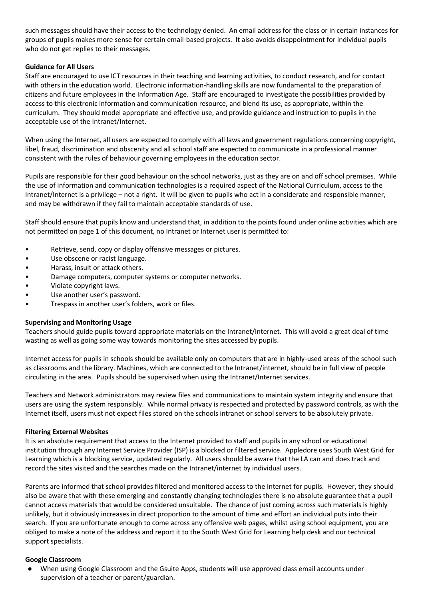such messages should have their access to the technology denied. An email address for the class or in certain instances for groups of pupils makes more sense for certain email-based projects. It also avoids disappointment for individual pupils who do not get replies to their messages.

### **Guidance for All Users**

Staff are encouraged to use ICT resources in their teaching and learning activities, to conduct research, and for contact with others in the education world. Electronic information-handling skills are now fundamental to the preparation of citizens and future employees in the Information Age. Staff are encouraged to investigate the possibilities provided by access to this electronic information and communication resource, and blend its use, as appropriate, within the curriculum. They should model appropriate and effective use, and provide guidance and instruction to pupils in the acceptable use of the Intranet/Internet.

When using the Internet, all users are expected to comply with all laws and government regulations concerning copyright, libel, fraud, discrimination and obscenity and all school staff are expected to communicate in a professional manner consistent with the rules of behaviour governing employees in the education sector.

Pupils are responsible for their good behaviour on the school networks, just as they are on and off school premises. While the use of information and communication technologies is a required aspect of the National Curriculum, access to the Intranet/Internet is a privilege – not a right. It will be given to pupils who act in a considerate and responsible manner, and may be withdrawn if they fail to maintain acceptable standards of use.

Staff should ensure that pupils know and understand that, in addition to the points found under online activities which are not permitted on page 1 of this document, no Intranet or Internet user is permitted to:

- Retrieve, send, copy or display offensive messages or pictures.
- Use obscene or racist language.
- Harass, insult or attack others.
- Damage computers, computer systems or computer networks.
- Violate copyright laws.
- Use another user's password.
- Trespass in another user's folders, work or files.

### **Supervising and Monitoring Usage**

Teachers should guide pupils toward appropriate materials on the Intranet/Internet. This will avoid a great deal of time wasting as well as going some way towards monitoring the sites accessed by pupils.

Internet access for pupils in schools should be available only on computers that are in highly-used areas of the school such as classrooms and the library. Machines, which are connected to the Intranet/internet, should be in full view of people circulating in the area. Pupils should be supervised when using the Intranet/Internet services.

Teachers and Network administrators may review files and communications to maintain system integrity and ensure that users are using the system responsibly. While normal privacy is respected and protected by password controls, as with the Internet itself, users must not expect files stored on the schools intranet or school servers to be absolutely private.

### **Filtering External Websites**

It is an absolute requirement that access to the Internet provided to staff and pupils in any school or educational institution through any Internet Service Provider (ISP) is a blocked or filtered service. Appledore uses South West Grid for Learning which is a blocking service, updated regularly. All users should be aware that the LA can and does track and record the sites visited and the searches made on the Intranet/internet by individual users.

Parents are informed that school provides filtered and monitored access to the Internet for pupils. However, they should also be aware that with these emerging and constantly changing technologies there is no absolute guarantee that a pupil cannot access materials that would be considered unsuitable. The chance of just coming across such materials is highly unlikely, but it obviously increases in direct proportion to the amount of time and effort an individual puts into their search. If you are unfortunate enough to come across any offensive web pages, whilst using school equipment, you are obliged to make a note of the address and report it to the South West Grid for Learning help desk and our technical support specialists.

### **Google Classroom**

When using Google Classroom and the Gsuite Apps, students will use approved class email accounts under supervision of a teacher or parent/guardian.